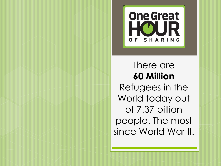

# There are **60 Million**

Refugees in the World today out of 7.37 billion people. The most since World War II.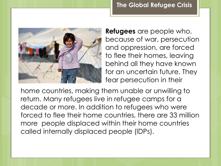

**Refugees** are people who, because of war, persecution and oppression, are forced to flee their homes, leaving behind all they have known for an uncertain future. They fear persecution in their

home countries, making them unable or unwilling to return. Many refugees live in refugee camps for a decade or more. In addition to refugees who were forced to flee their home countries, there are 33 million more people displaced within their home countries called internally displaced people (IDPs).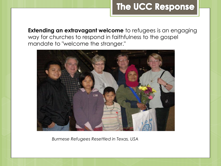# The UCC Response

**Extending an extravagant welcome** to refugees is an engaging way for churches to respond in faithfulness to the gospel mandate to "welcome the stranger."



*Burmese Refugees Resettled in Texas, USA*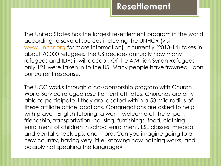## **Resettlement**

The United States has the largest resettlement program in the world according to several sources including the UNHCR (visit [www.unhcr.org](http://www.unhcr.org/) for more information). It currently (2013-14) takes in about 70,000 refugees. The US decides annually how many refugees and IDPs it will accept. Of the 4 Million Syrian Refugees only 121 were taken in to the US. Many people have frowned upon our current response.

The UCC works through a co-sponsorship program with Church World Service refugee resettlement affiliates. Churches are only able to participate if they are located within a 50 mile radius of these affiliate office locations. Congregations are asked to help with prayer, English tutoring, a warm welcome at the airport, friendship, transportation, housing, furnishings, food, clothing enrollment of children in school enrollment, ESL classes, medical and dental check-ups, and more. Can you imagine going to a new country, having very little, knowing how nothing works, and possibly not speaking the language?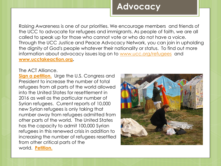# **Advocacy**

Raising Awareness is one of our priorities. We encourage members and friends of the UCC to advocate for refugees and immigrants. As people of faith, we are all called to speak up for those who cannot vote or who do not have a voice. Through the UCC Justice and Peace Advocacy Network, you can join in upholding the dignity of God's people whatever their nationality or status. To find out more information about advocacy issues log on to [www.ucc.org/refugees](http://www.ucc.org/refugees) and **[www.ucctakeaction.org](http://www.ucctakeaction.org/).**

#### The ACT Alliance.

**[Sign a petition.](https://petitions.whitehouse.gov/petition/authorize-and-resettle-syrian-refugees-us)** Urge the U.S. Congress and President to increase the number of total refugees from all parts of the world allowed into the United States for resettlement in 2016 as well as the particular number of Syrian refugees. Current reports of 10,000 new Syrian refugees is only taking that number away from refugees admitted from other parts of the world. The United States has the capacity to admit 100,000 Syrian refugees in this renewed crisis in addition to increasing the number of refugees resettled from other critical parts of the world. **[Petition.](https://petitions.whitehouse.gov/petition/authorize-and-resettle-syrian-refugees-us)**

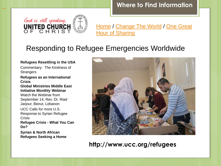**Where to Find Information**



l

[Home](http://www.ucc.org/) / [Change The World](http://www.ucc.org/change_the_world) / One Great **[Hour of Sharing](http://www.ucc.org/oghs)** 

### Responding to Refugee Emergencies Worldwide

#### **Refugees Resettling in the USA**

Commentary: The Kindness of **Strangers** 

#### **Refugees as an International Crisis**

**Global Ministries Middle East Initiative Monthly Webinar** 

Watch the Webinar from September 14, Rev. Dr. Riad Jarjour, Beirut, Lebanon

UCC Calls for more U.S. Response to Syrian Refugee **Crisis** 

**Refugee Crisis - What You Can Do?**

**Syrian & North African Refugees Seeking a Home**



**http://www.ucc.org/refugees**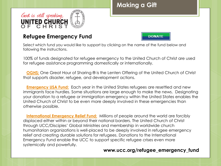

### **Refugee Emergency Fund**



Select which fund you would like to support by clicking on the name of the fund below and following the instructions.

100% of funds designated for refugee emergency to the United Church of Christ are used for refugee assistance programming domestically or internationally.

 **[OGHS:](http://www.ucc.org/one_great_hour_of_sharing)** One Great Hour of Sharing ® is the Lenten Offering of the United Church of Christ that supports disaster, refugee, and development actions.

**[Emergency USA Fund:](http://www.ucc.org/emergency_usa_fund)** Each year in the United States refugees are resettled and new immigrants face hurdles. Some situations are large enough to make the news. Designating your donation to a refugee or immigration emergency within the United States enables the United Church of Christ to be even more deeply involved in these emergencies than otherwise possible.

**[International Emergency Relief Fund:](http://www.ucc.org/international_emergency_relief_fund)** Millions of people around the world are forcibly displaced either within or beyond their national borders. The United Church of Christ through UCC/Disciples' Global Ministries and membership in worldwide church humanitarian organizations is well-placed to be deeply involved in refugee emergency relief and creating durable solutions for refugees. Donations to the International Emergency Fund enable the UCC to support specific refugee crises even more systemically and powerfully.

#### **www.ucc.org/refugee\_emergency\_fund**